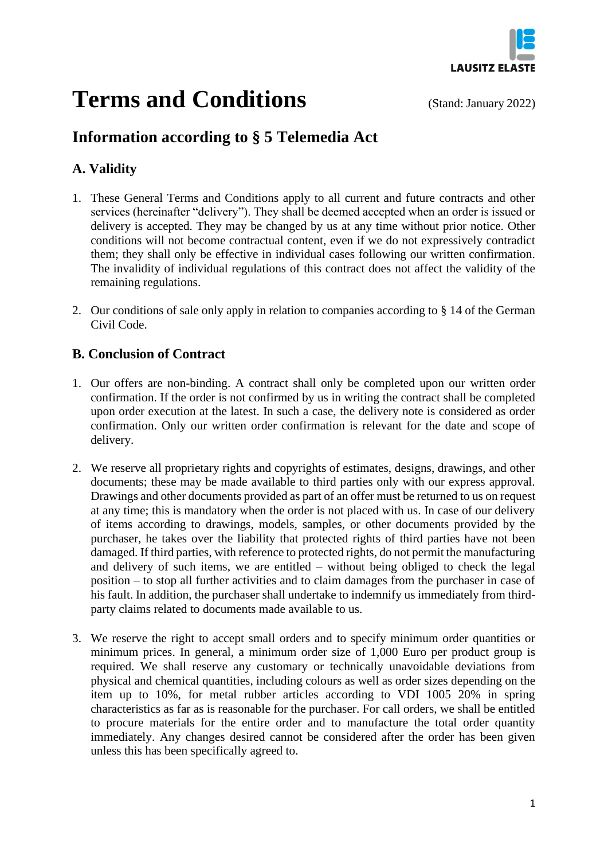

# **Terms and Conditions** (Stand: January 2022)

# **Information according to § 5 Telemedia Act**

# **A. Validity**

- 1. These General Terms and Conditions apply to all current and future contracts and other services (hereinafter "delivery"). They shall be deemed accepted when an order is issued or delivery is accepted. They may be changed by us at any time without prior notice. Other conditions will not become contractual content, even if we do not expressively contradict them; they shall only be effective in individual cases following our written confirmation. The invalidity of individual regulations of this contract does not affect the validity of the remaining regulations.
- 2. Our conditions of sale only apply in relation to companies according to § 14 of the German Civil Code.

# **B. Conclusion of Contract**

- 1. Our offers are non-binding. A contract shall only be completed upon our written order confirmation. If the order is not confirmed by us in writing the contract shall be completed upon order execution at the latest. In such a case, the delivery note is considered as order confirmation. Only our written order confirmation is relevant for the date and scope of delivery.
- 2. We reserve all proprietary rights and copyrights of estimates, designs, drawings, and other documents; these may be made available to third parties only with our express approval. Drawings and other documents provided as part of an offer must be returned to us on request at any time; this is mandatory when the order is not placed with us. In case of our delivery of items according to drawings, models, samples, or other documents provided by the purchaser, he takes over the liability that protected rights of third parties have not been damaged. If third parties, with reference to protected rights, do not permit the manufacturing and delivery of such items, we are entitled – without being obliged to check the legal position – to stop all further activities and to claim damages from the purchaser in case of his fault. In addition, the purchaser shall undertake to indemnify us immediately from thirdparty claims related to documents made available to us.
- 3. We reserve the right to accept small orders and to specify minimum order quantities or minimum prices. In general, a minimum order size of 1,000 Euro per product group is required. We shall reserve any customary or technically unavoidable deviations from physical and chemical quantities, including colours as well as order sizes depending on the item up to 10%, for metal rubber articles according to VDI 1005 20% in spring characteristics as far as is reasonable for the purchaser. For call orders, we shall be entitled to procure materials for the entire order and to manufacture the total order quantity immediately. Any changes desired cannot be considered after the order has been given unless this has been specifically agreed to.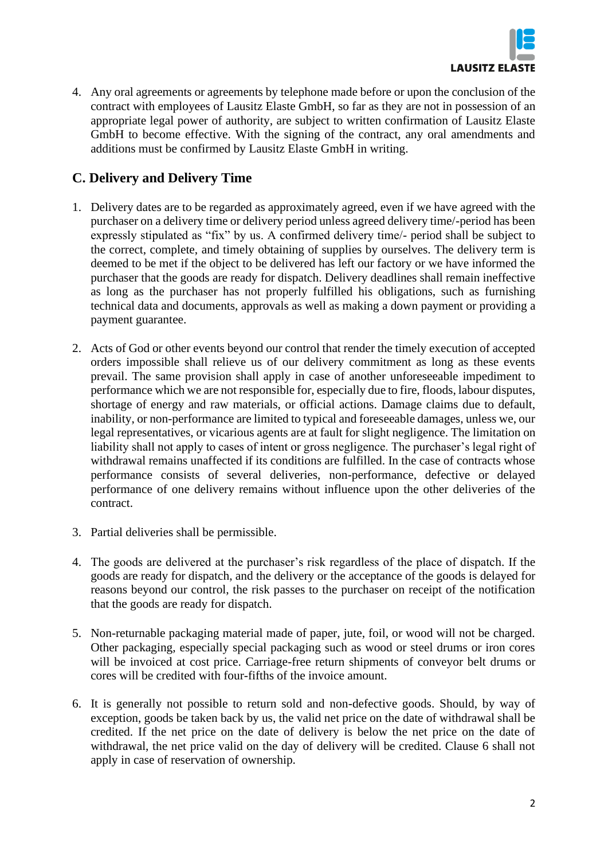

4. Any oral agreements or agreements by telephone made before or upon the conclusion of the contract with employees of Lausitz Elaste GmbH, so far as they are not in possession of an appropriate legal power of authority, are subject to written confirmation of Lausitz Elaste GmbH to become effective. With the signing of the contract, any oral amendments and additions must be confirmed by Lausitz Elaste GmbH in writing.

# **C. Delivery and Delivery Time**

- 1. Delivery dates are to be regarded as approximately agreed, even if we have agreed with the purchaser on a delivery time or delivery period unless agreed delivery time/-period has been expressly stipulated as "fix" by us. A confirmed delivery time/- period shall be subject to the correct, complete, and timely obtaining of supplies by ourselves. The delivery term is deemed to be met if the object to be delivered has left our factory or we have informed the purchaser that the goods are ready for dispatch. Delivery deadlines shall remain ineffective as long as the purchaser has not properly fulfilled his obligations, such as furnishing technical data and documents, approvals as well as making a down payment or providing a payment guarantee.
- 2. Acts of God or other events beyond our control that render the timely execution of accepted orders impossible shall relieve us of our delivery commitment as long as these events prevail. The same provision shall apply in case of another unforeseeable impediment to performance which we are not responsible for, especially due to fire, floods, labour disputes, shortage of energy and raw materials, or official actions. Damage claims due to default, inability, or non-performance are limited to typical and foreseeable damages, unless we, our legal representatives, or vicarious agents are at fault for slight negligence. The limitation on liability shall not apply to cases of intent or gross negligence. The purchaser's legal right of withdrawal remains unaffected if its conditions are fulfilled. In the case of contracts whose performance consists of several deliveries, non-performance, defective or delayed performance of one delivery remains without influence upon the other deliveries of the contract.
- 3. Partial deliveries shall be permissible.
- 4. The goods are delivered at the purchaser's risk regardless of the place of dispatch. If the goods are ready for dispatch, and the delivery or the acceptance of the goods is delayed for reasons beyond our control, the risk passes to the purchaser on receipt of the notification that the goods are ready for dispatch.
- 5. Non-returnable packaging material made of paper, jute, foil, or wood will not be charged. Other packaging, especially special packaging such as wood or steel drums or iron cores will be invoiced at cost price. Carriage-free return shipments of conveyor belt drums or cores will be credited with four-fifths of the invoice amount.
- 6. It is generally not possible to return sold and non-defective goods. Should, by way of exception, goods be taken back by us, the valid net price on the date of withdrawal shall be credited. If the net price on the date of delivery is below the net price on the date of withdrawal, the net price valid on the day of delivery will be credited. Clause 6 shall not apply in case of reservation of ownership.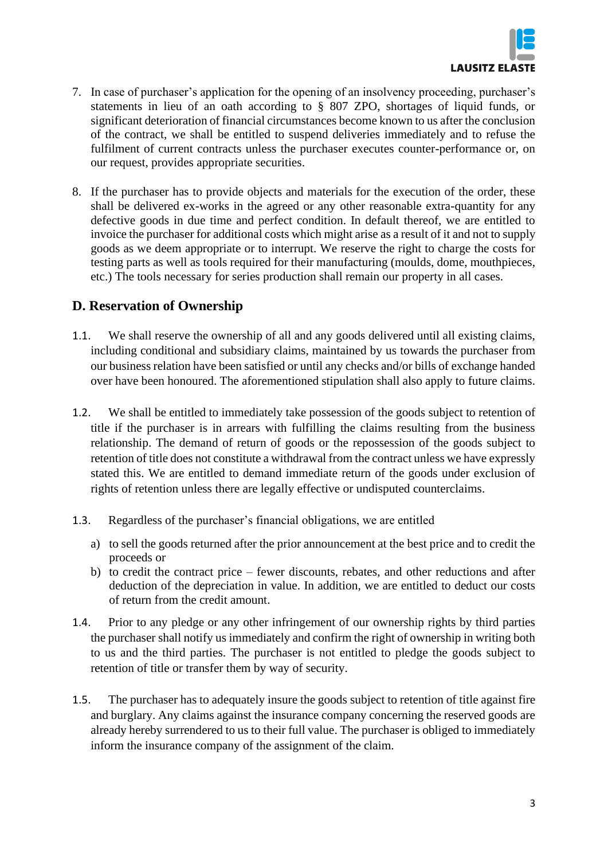

- 7. In case of purchaser's application for the opening of an insolvency proceeding, purchaser's statements in lieu of an oath according to § 807 ZPO, shortages of liquid funds, or significant deterioration of financial circumstances become known to us after the conclusion of the contract, we shall be entitled to suspend deliveries immediately and to refuse the fulfilment of current contracts unless the purchaser executes counter-performance or, on our request, provides appropriate securities.
- 8. If the purchaser has to provide objects and materials for the execution of the order, these shall be delivered ex-works in the agreed or any other reasonable extra-quantity for any defective goods in due time and perfect condition. In default thereof, we are entitled to invoice the purchaser for additional costs which might arise as a result of it and not to supply goods as we deem appropriate or to interrupt. We reserve the right to charge the costs for testing parts as well as tools required for their manufacturing (moulds, dome, mouthpieces, etc.) The tools necessary for series production shall remain our property in all cases.

#### **D. Reservation of Ownership**

- 1.1. We shall reserve the ownership of all and any goods delivered until all existing claims, including conditional and subsidiary claims, maintained by us towards the purchaser from our business relation have been satisfied or until any checks and/or bills of exchange handed over have been honoured. The aforementioned stipulation shall also apply to future claims.
- 1.2. We shall be entitled to immediately take possession of the goods subject to retention of title if the purchaser is in arrears with fulfilling the claims resulting from the business relationship. The demand of return of goods or the repossession of the goods subject to retention of title does not constitute a withdrawal from the contract unless we have expressly stated this. We are entitled to demand immediate return of the goods under exclusion of rights of retention unless there are legally effective or undisputed counterclaims.
- 1.3. Regardless of the purchaser's financial obligations, we are entitled
	- a) to sell the goods returned after the prior announcement at the best price and to credit the proceeds or
	- b) to credit the contract price fewer discounts, rebates, and other reductions and after deduction of the depreciation in value. In addition, we are entitled to deduct our costs of return from the credit amount.
- 1.4. Prior to any pledge or any other infringement of our ownership rights by third parties the purchaser shall notify us immediately and confirm the right of ownership in writing both to us and the third parties. The purchaser is not entitled to pledge the goods subject to retention of title or transfer them by way of security.
- 1.5. The purchaser has to adequately insure the goods subject to retention of title against fire and burglary. Any claims against the insurance company concerning the reserved goods are already hereby surrendered to us to their full value. The purchaser is obliged to immediately inform the insurance company of the assignment of the claim.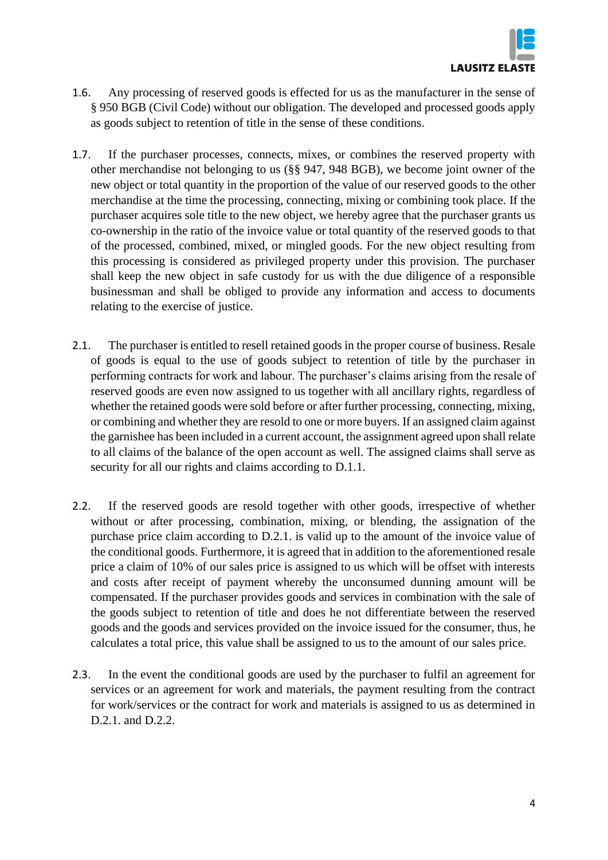

- 1.6. Any processing of reserved goods is effected for us as the manufacturer in the sense of § 950 BGB (Civil Code) without our obligation. The developed and processed goods apply as goods subject to retention of title in the sense of these conditions.
- 1.7. If the purchaser processes, connects, mixes, or combines the reserved property with other merchandise not belonging to us (§§ 947, 948 BGB), we become joint owner of the new object or total quantity in the proportion of the value of our reserved goods to the other merchandise at the time the processing, connecting, mixing or combining took place. If the purchaser acquires sole title to the new object, we hereby agree that the purchaser grants us co-ownership in the ratio of the invoice value or total quantity of the reserved goods to that of the processed, combined, mixed, or mingled goods. For the new object resulting from this processing is considered as privileged property under this provision. The purchaser shall keep the new object in safe custody for us with the due diligence of a responsible businessman and shall be obliged to provide any information and access to documents relating to the exercise of justice.
- 2.1. The purchaser is entitled to resell retained goods in the proper course of business. Resale of goods is equal to the use of goods subject to retention of title by the purchaser in performing contracts for work and labour. The purchaser's claims arising from the resale of reserved goods are even now assigned to us together with all ancillary rights, regardless of whether the retained goods were sold before or after further processing, connecting, mixing, or combining and whether they are resold to one or more buyers. If an assigned claim against the garnishee has been included in a current account, the assignment agreed upon shall relate to all claims of the balance of the open account as well. The assigned claims shall serve as security for all our rights and claims according to D.1.1.
- 2.2. If the reserved goods are resold together with other goods, irrespective of whether without or after processing, combination, mixing, or blending, the assignation of the purchase price claim according to D.2.1. is valid up to the amount of the invoice value of the conditional goods. Furthermore, it is agreed that in addition to the aforementioned resale price a claim of 10% of our sales price is assigned to us which will be offset with interests and costs after receipt of payment whereby the unconsumed dunning amount will be compensated. If the purchaser provides goods and services in combination with the sale of the goods subject to retention of title and does he not differentiate between the reserved goods and the goods and services provided on the invoice issued for the consumer, thus, he calculates a total price, this value shall be assigned to us to the amount of our sales price.
- 2.3. In the event the conditional goods are used by the purchaser to fulfil an agreement for services or an agreement for work and materials, the payment resulting from the contract for work/services or the contract for work and materials is assigned to us as determined in D.2.1. and D.2.2.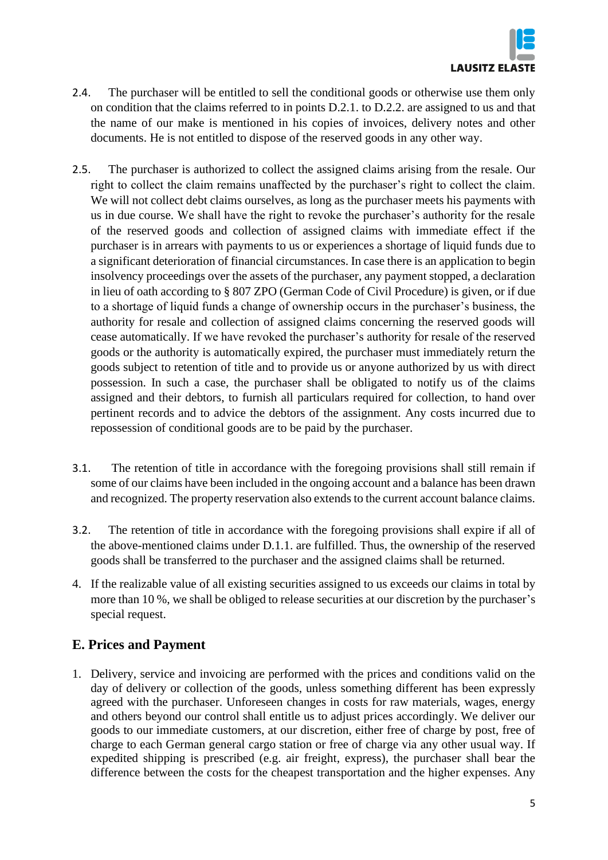

- 2.4. The purchaser will be entitled to sell the conditional goods or otherwise use them only on condition that the claims referred to in points D.2.1. to D.2.2. are assigned to us and that the name of our make is mentioned in his copies of invoices, delivery notes and other documents. He is not entitled to dispose of the reserved goods in any other way.
- 2.5. The purchaser is authorized to collect the assigned claims arising from the resale. Our right to collect the claim remains unaffected by the purchaser's right to collect the claim. We will not collect debt claims ourselves, as long as the purchaser meets his payments with us in due course. We shall have the right to revoke the purchaser's authority for the resale of the reserved goods and collection of assigned claims with immediate effect if the purchaser is in arrears with payments to us or experiences a shortage of liquid funds due to a significant deterioration of financial circumstances. In case there is an application to begin insolvency proceedings over the assets of the purchaser, any payment stopped, a declaration in lieu of oath according to § 807 ZPO (German Code of Civil Procedure) is given, or if due to a shortage of liquid funds a change of ownership occurs in the purchaser's business, the authority for resale and collection of assigned claims concerning the reserved goods will cease automatically. If we have revoked the purchaser's authority for resale of the reserved goods or the authority is automatically expired, the purchaser must immediately return the goods subject to retention of title and to provide us or anyone authorized by us with direct possession. In such a case, the purchaser shall be obligated to notify us of the claims assigned and their debtors, to furnish all particulars required for collection, to hand over pertinent records and to advice the debtors of the assignment. Any costs incurred due to repossession of conditional goods are to be paid by the purchaser.
- 3.1. The retention of title in accordance with the foregoing provisions shall still remain if some of our claims have been included in the ongoing account and a balance has been drawn and recognized. The property reservation also extends to the current account balance claims.
- 3.2. The retention of title in accordance with the foregoing provisions shall expire if all of the above-mentioned claims under D.1.1. are fulfilled. Thus, the ownership of the reserved goods shall be transferred to the purchaser and the assigned claims shall be returned.
- 4. If the realizable value of all existing securities assigned to us exceeds our claims in total by more than 10 %, we shall be obliged to release securities at our discretion by the purchaser's special request.

## **E. Prices and Payment**

1. Delivery, service and invoicing are performed with the prices and conditions valid on the day of delivery or collection of the goods, unless something different has been expressly agreed with the purchaser. Unforeseen changes in costs for raw materials, wages, energy and others beyond our control shall entitle us to adjust prices accordingly. We deliver our goods to our immediate customers, at our discretion, either free of charge by post, free of charge to each German general cargo station or free of charge via any other usual way. If expedited shipping is prescribed (e.g. air freight, express), the purchaser shall bear the difference between the costs for the cheapest transportation and the higher expenses. Any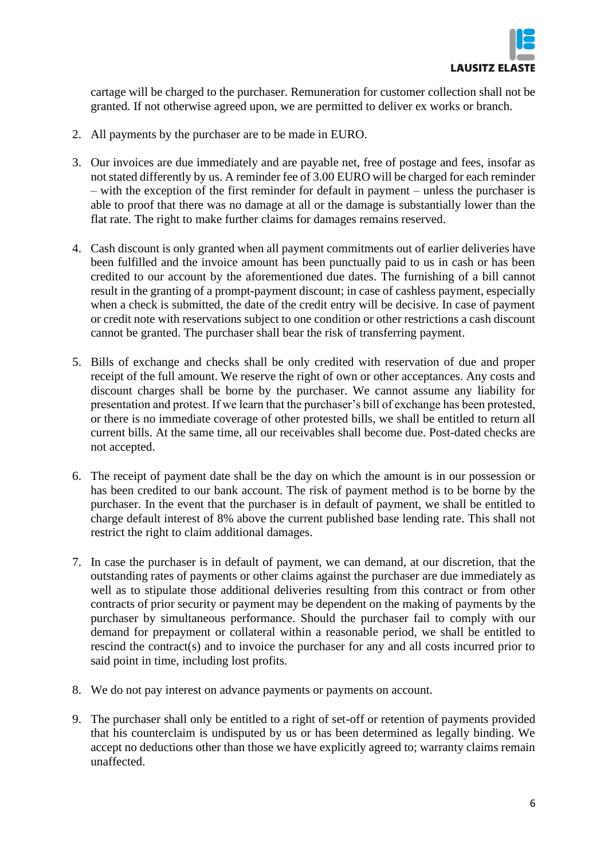

cartage will be charged to the purchaser. Remuneration for customer collection shall not be granted. If not otherwise agreed upon, we are permitted to deliver ex works or branch.

- 2. All payments by the purchaser are to be made in EURO.
- 3. Our invoices are due immediately and are payable net, free of postage and fees, insofar as not stated differently by us. A reminder fee of 3.00 EURO will be charged for each reminder – with the exception of the first reminder for default in payment – unless the purchaser is able to proof that there was no damage at all or the damage is substantially lower than the flat rate. The right to make further claims for damages remains reserved.
- 4. Cash discount is only granted when all payment commitments out of earlier deliveries have been fulfilled and the invoice amount has been punctually paid to us in cash or has been credited to our account by the aforementioned due dates. The furnishing of a bill cannot result in the granting of a prompt-payment discount; in case of cashless payment, especially when a check is submitted, the date of the credit entry will be decisive. In case of payment or credit note with reservations subject to one condition or other restrictions a cash discount cannot be granted. The purchaser shall bear the risk of transferring payment.
- 5. Bills of exchange and checks shall be only credited with reservation of due and proper receipt of the full amount. We reserve the right of own or other acceptances. Any costs and discount charges shall be borne by the purchaser. We cannot assume any liability for presentation and protest. If we learn that the purchaser's bill of exchange has been protested, or there is no immediate coverage of other protested bills, we shall be entitled to return all current bills. At the same time, all our receivables shall become due. Post-dated checks are not accepted.
- 6. The receipt of payment date shall be the day on which the amount is in our possession or has been credited to our bank account. The risk of payment method is to be borne by the purchaser. In the event that the purchaser is in default of payment, we shall be entitled to charge default interest of 8% above the current published base lending rate. This shall not restrict the right to claim additional damages.
- 7. In case the purchaser is in default of payment, we can demand, at our discretion, that the outstanding rates of payments or other claims against the purchaser are due immediately as well as to stipulate those additional deliveries resulting from this contract or from other contracts of prior security or payment may be dependent on the making of payments by the purchaser by simultaneous performance. Should the purchaser fail to comply with our demand for prepayment or collateral within a reasonable period, we shall be entitled to rescind the contract(s) and to invoice the purchaser for any and all costs incurred prior to said point in time, including lost profits.
- 8. We do not pay interest on advance payments or payments on account.
- 9. The purchaser shall only be entitled to a right of set-off or retention of payments provided that his counterclaim is undisputed by us or has been determined as legally binding. We accept no deductions other than those we have explicitly agreed to; warranty claims remain unaffected.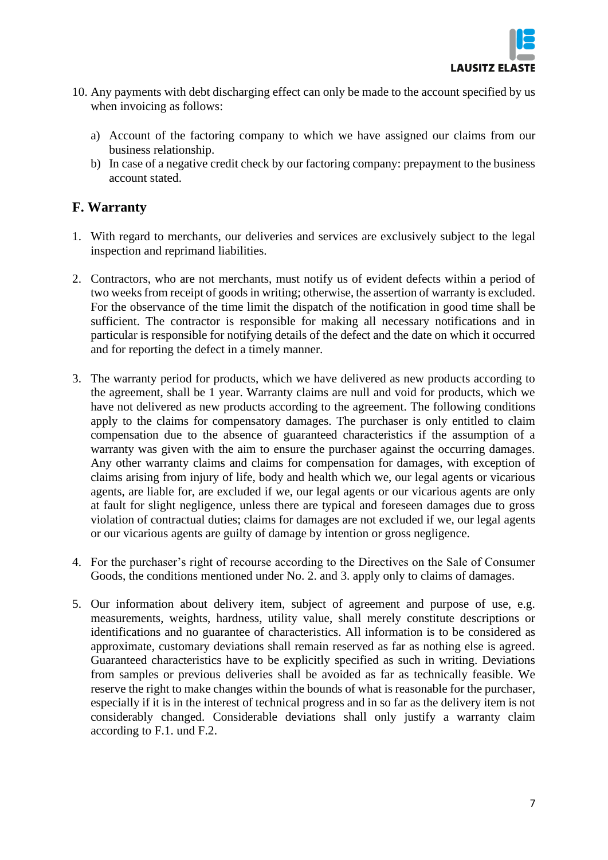

- 10. Any payments with debt discharging effect can only be made to the account specified by us when invoicing as follows:
	- a) Account of the factoring company to which we have assigned our claims from our business relationship.
	- b) In case of a negative credit check by our factoring company: prepayment to the business account stated.

#### **F. Warranty**

- 1. With regard to merchants, our deliveries and services are exclusively subject to the legal inspection and reprimand liabilities.
- 2. Contractors, who are not merchants, must notify us of evident defects within a period of two weeks from receipt of goods in writing; otherwise, the assertion of warranty is excluded. For the observance of the time limit the dispatch of the notification in good time shall be sufficient. The contractor is responsible for making all necessary notifications and in particular is responsible for notifying details of the defect and the date on which it occurred and for reporting the defect in a timely manner.
- 3. The warranty period for products, which we have delivered as new products according to the agreement, shall be 1 year. Warranty claims are null and void for products, which we have not delivered as new products according to the agreement. The following conditions apply to the claims for compensatory damages. The purchaser is only entitled to claim compensation due to the absence of guaranteed characteristics if the assumption of a warranty was given with the aim to ensure the purchaser against the occurring damages. Any other warranty claims and claims for compensation for damages, with exception of claims arising from injury of life, body and health which we, our legal agents or vicarious agents, are liable for, are excluded if we, our legal agents or our vicarious agents are only at fault for slight negligence, unless there are typical and foreseen damages due to gross violation of contractual duties; claims for damages are not excluded if we, our legal agents or our vicarious agents are guilty of damage by intention or gross negligence.
- 4. For the purchaser's right of recourse according to the Directives on the Sale of Consumer Goods, the conditions mentioned under No. 2. and 3. apply only to claims of damages.
- 5. Our information about delivery item, subject of agreement and purpose of use, e.g. measurements, weights, hardness, utility value, shall merely constitute descriptions or identifications and no guarantee of characteristics. All information is to be considered as approximate, customary deviations shall remain reserved as far as nothing else is agreed. Guaranteed characteristics have to be explicitly specified as such in writing. Deviations from samples or previous deliveries shall be avoided as far as technically feasible. We reserve the right to make changes within the bounds of what is reasonable for the purchaser, especially if it is in the interest of technical progress and in so far as the delivery item is not considerably changed. Considerable deviations shall only justify a warranty claim according to F.1. und F.2.